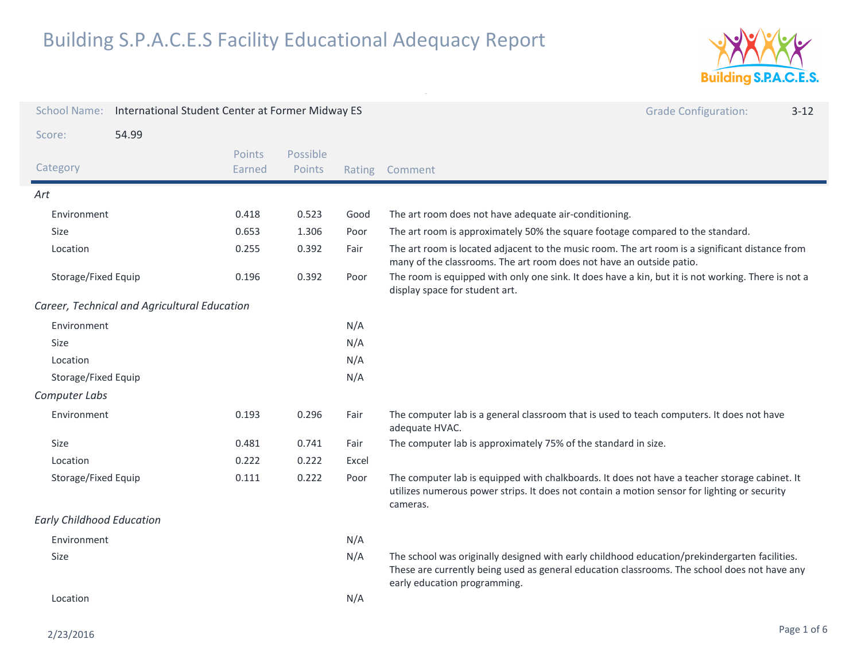

| <b>School Name:</b>                   | International Student Center at Former Midway ES |                  |                    |                                                                                                                                      | <b>Grade Configuration:</b><br>$3 - 12$                                                                                                                                                                                       |
|---------------------------------------|--------------------------------------------------|------------------|--------------------|--------------------------------------------------------------------------------------------------------------------------------------|-------------------------------------------------------------------------------------------------------------------------------------------------------------------------------------------------------------------------------|
| Score:                                | 54.99                                            |                  |                    |                                                                                                                                      |                                                                                                                                                                                                                               |
| Category                              |                                                  | Points<br>Earned | Possible<br>Points | Rating                                                                                                                               | Comment                                                                                                                                                                                                                       |
| Art                                   |                                                  |                  |                    |                                                                                                                                      |                                                                                                                                                                                                                               |
| Environment                           |                                                  | 0.418            | 0.523              | Good                                                                                                                                 | The art room does not have adequate air-conditioning.                                                                                                                                                                         |
| Size                                  |                                                  | 0.653            | 1.306              | Poor                                                                                                                                 | The art room is approximately 50% the square footage compared to the standard.                                                                                                                                                |
| Location                              |                                                  | 0.255            | 0.392              | Fair                                                                                                                                 | The art room is located adjacent to the music room. The art room is a significant distance from<br>many of the classrooms. The art room does not have an outside patio.                                                       |
| Storage/Fixed Equip<br>0.392<br>0.196 |                                                  |                  | Poor               | The room is equipped with only one sink. It does have a kin, but it is not working. There is not a<br>display space for student art. |                                                                                                                                                                                                                               |
|                                       | Career, Technical and Agricultural Education     |                  |                    |                                                                                                                                      |                                                                                                                                                                                                                               |
| Environment                           |                                                  |                  |                    | N/A                                                                                                                                  |                                                                                                                                                                                                                               |
| Size                                  |                                                  | N/A              |                    |                                                                                                                                      |                                                                                                                                                                                                                               |
| Location                              |                                                  | N/A              |                    |                                                                                                                                      |                                                                                                                                                                                                                               |
| Storage/Fixed Equip                   |                                                  | N/A              |                    |                                                                                                                                      |                                                                                                                                                                                                                               |
| Computer Labs                         |                                                  |                  |                    |                                                                                                                                      |                                                                                                                                                                                                                               |
| Environment                           |                                                  | 0.193            | 0.296              | Fair                                                                                                                                 | The computer lab is a general classroom that is used to teach computers. It does not have<br>adequate HVAC.                                                                                                                   |
| Size                                  |                                                  | 0.481            | 0.741              | Fair                                                                                                                                 | The computer lab is approximately 75% of the standard in size.                                                                                                                                                                |
| Location                              |                                                  | 0.222            | 0.222              | Excel                                                                                                                                |                                                                                                                                                                                                                               |
| Storage/Fixed Equip                   |                                                  | 0.111            | 0.222              | Poor                                                                                                                                 | The computer lab is equipped with chalkboards. It does not have a teacher storage cabinet. It<br>utilizes numerous power strips. It does not contain a motion sensor for lighting or security<br>cameras.                     |
| <b>Early Childhood Education</b>      |                                                  |                  |                    |                                                                                                                                      |                                                                                                                                                                                                                               |
| Environment                           |                                                  |                  |                    | N/A                                                                                                                                  |                                                                                                                                                                                                                               |
| Size                                  |                                                  |                  |                    | N/A                                                                                                                                  | The school was originally designed with early childhood education/prekindergarten facilities.<br>These are currently being used as general education classrooms. The school does not have any<br>early education programming. |
| Location                              |                                                  | N/A              |                    |                                                                                                                                      |                                                                                                                                                                                                                               |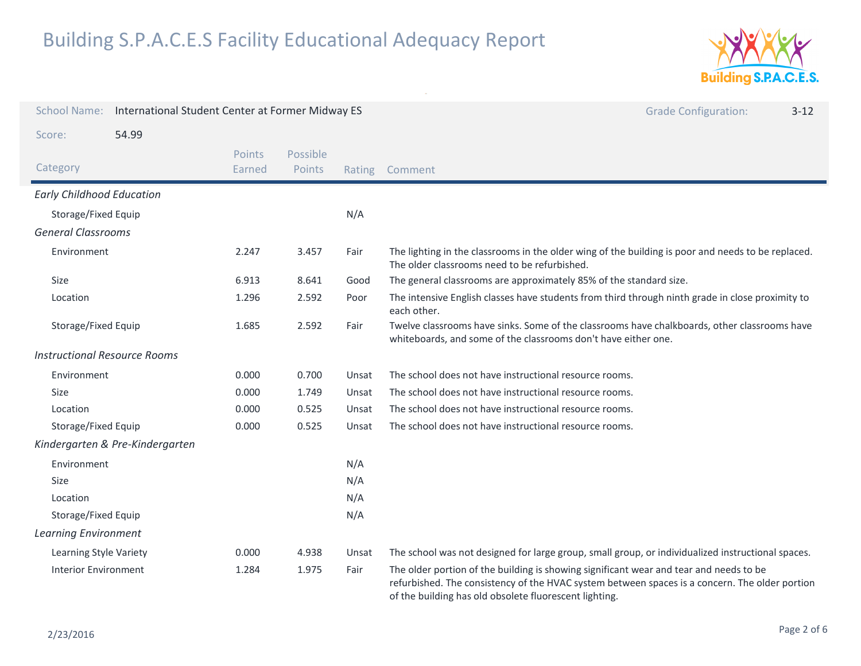

| <b>School Name:</b>                 | International Student Center at Former Midway ES |                         |                    |        | <b>Grade Configuration:</b><br>$3 - 12$                                                                                                                                                                                                            |
|-------------------------------------|--------------------------------------------------|-------------------------|--------------------|--------|----------------------------------------------------------------------------------------------------------------------------------------------------------------------------------------------------------------------------------------------------|
| Score:                              | 54.99                                            |                         |                    |        |                                                                                                                                                                                                                                                    |
| Category                            |                                                  | <b>Points</b><br>Earned | Possible<br>Points | Rating | Comment                                                                                                                                                                                                                                            |
| <b>Early Childhood Education</b>    |                                                  |                         |                    |        |                                                                                                                                                                                                                                                    |
| Storage/Fixed Equip                 |                                                  |                         |                    | N/A    |                                                                                                                                                                                                                                                    |
| <b>General Classrooms</b>           |                                                  |                         |                    |        |                                                                                                                                                                                                                                                    |
| Environment                         |                                                  | 2.247                   | 3.457              | Fair   | The lighting in the classrooms in the older wing of the building is poor and needs to be replaced.<br>The older classrooms need to be refurbished.                                                                                                 |
| Size                                |                                                  | 6.913                   | 8.641              | Good   | The general classrooms are approximately 85% of the standard size.                                                                                                                                                                                 |
| Location                            |                                                  | 1.296                   | 2.592              | Poor   | The intensive English classes have students from third through ninth grade in close proximity to<br>each other.                                                                                                                                    |
| Storage/Fixed Equip                 |                                                  | 1.685                   | 2.592              | Fair   | Twelve classrooms have sinks. Some of the classrooms have chalkboards, other classrooms have<br>whiteboards, and some of the classrooms don't have either one.                                                                                     |
| <b>Instructional Resource Rooms</b> |                                                  |                         |                    |        |                                                                                                                                                                                                                                                    |
| Environment                         |                                                  | 0.000                   | 0.700              | Unsat  | The school does not have instructional resource rooms.                                                                                                                                                                                             |
| <b>Size</b>                         |                                                  | 0.000                   | 1.749              | Unsat  | The school does not have instructional resource rooms.                                                                                                                                                                                             |
| Location                            |                                                  | 0.000                   | 0.525              | Unsat  | The school does not have instructional resource rooms.                                                                                                                                                                                             |
| Storage/Fixed Equip                 |                                                  | 0.000                   | 0.525              | Unsat  | The school does not have instructional resource rooms.                                                                                                                                                                                             |
|                                     | Kindergarten & Pre-Kindergarten                  |                         |                    |        |                                                                                                                                                                                                                                                    |
| Environment                         |                                                  |                         |                    | N/A    |                                                                                                                                                                                                                                                    |
| Size                                |                                                  |                         |                    | N/A    |                                                                                                                                                                                                                                                    |
| Location                            |                                                  |                         |                    | N/A    |                                                                                                                                                                                                                                                    |
| Storage/Fixed Equip                 |                                                  |                         |                    | N/A    |                                                                                                                                                                                                                                                    |
| <b>Learning Environment</b>         |                                                  |                         |                    |        |                                                                                                                                                                                                                                                    |
| Learning Style Variety              |                                                  | 0.000                   | 4.938              | Unsat  | The school was not designed for large group, small group, or individualized instructional spaces.                                                                                                                                                  |
| Interior Environment                |                                                  | 1.284                   | 1.975              | Fair   | The older portion of the building is showing significant wear and tear and needs to be<br>refurbished. The consistency of the HVAC system between spaces is a concern. The older portion<br>of the building has old obsolete fluorescent lighting. |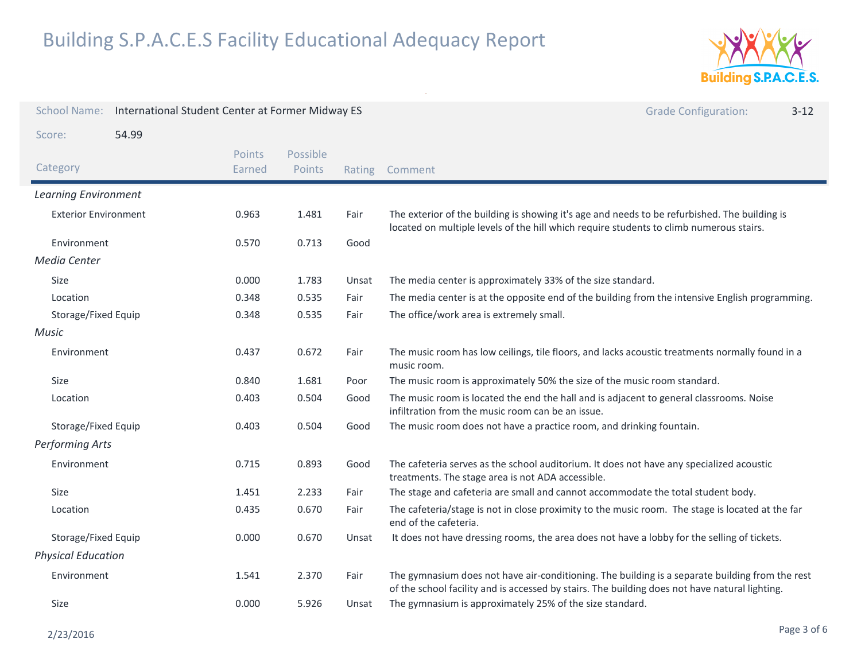

| <b>School Name:</b>         | International Student Center at Former Midway ES |                  |                    |        | <b>Grade Configuration:</b><br>$3 - 12$                                                                                                                                                           |
|-----------------------------|--------------------------------------------------|------------------|--------------------|--------|---------------------------------------------------------------------------------------------------------------------------------------------------------------------------------------------------|
| Score:                      | 54.99                                            |                  |                    |        |                                                                                                                                                                                                   |
| Category                    |                                                  | Points<br>Earned | Possible<br>Points | Rating | Comment                                                                                                                                                                                           |
| <b>Learning Environment</b> |                                                  |                  |                    |        |                                                                                                                                                                                                   |
| <b>Exterior Environment</b> |                                                  | 0.963            | 1.481              | Fair   | The exterior of the building is showing it's age and needs to be refurbished. The building is<br>located on multiple levels of the hill which require students to climb numerous stairs.          |
| Environment                 |                                                  | 0.570            | 0.713              | Good   |                                                                                                                                                                                                   |
| Media Center                |                                                  |                  |                    |        |                                                                                                                                                                                                   |
| Size                        |                                                  | 0.000            | 1.783              | Unsat  | The media center is approximately 33% of the size standard.                                                                                                                                       |
| Location                    |                                                  | 0.348            | 0.535              | Fair   | The media center is at the opposite end of the building from the intensive English programming.                                                                                                   |
| Storage/Fixed Equip         |                                                  | 0.348            | 0.535              | Fair   | The office/work area is extremely small.                                                                                                                                                          |
| Music                       |                                                  |                  |                    |        |                                                                                                                                                                                                   |
| Environment                 |                                                  | 0.437            | 0.672              | Fair   | The music room has low ceilings, tile floors, and lacks acoustic treatments normally found in a<br>music room.                                                                                    |
| Size                        |                                                  | 0.840            | 1.681              | Poor   | The music room is approximately 50% the size of the music room standard.                                                                                                                          |
| Location                    |                                                  | 0.403            | 0.504              | Good   | The music room is located the end the hall and is adjacent to general classrooms. Noise<br>infiltration from the music room can be an issue.                                                      |
| Storage/Fixed Equip         |                                                  | 0.403            | 0.504              | Good   | The music room does not have a practice room, and drinking fountain.                                                                                                                              |
| <b>Performing Arts</b>      |                                                  |                  |                    |        |                                                                                                                                                                                                   |
| Environment                 |                                                  | 0.715            | 0.893              | Good   | The cafeteria serves as the school auditorium. It does not have any specialized acoustic<br>treatments. The stage area is not ADA accessible.                                                     |
| Size                        |                                                  | 1.451            | 2.233              | Fair   | The stage and cafeteria are small and cannot accommodate the total student body.                                                                                                                  |
| Location                    |                                                  | 0.435            | 0.670              | Fair   | The cafeteria/stage is not in close proximity to the music room. The stage is located at the far<br>end of the cafeteria.                                                                         |
| Storage/Fixed Equip         |                                                  | 0.000            | 0.670              | Unsat  | It does not have dressing rooms, the area does not have a lobby for the selling of tickets.                                                                                                       |
| <b>Physical Education</b>   |                                                  |                  |                    |        |                                                                                                                                                                                                   |
| Environment                 |                                                  | 1.541            | 2.370              | Fair   | The gymnasium does not have air-conditioning. The building is a separate building from the rest<br>of the school facility and is accessed by stairs. The building does not have natural lighting. |
| Size                        |                                                  | 0.000            | 5.926              | Unsat  | The gymnasium is approximately 25% of the size standard.                                                                                                                                          |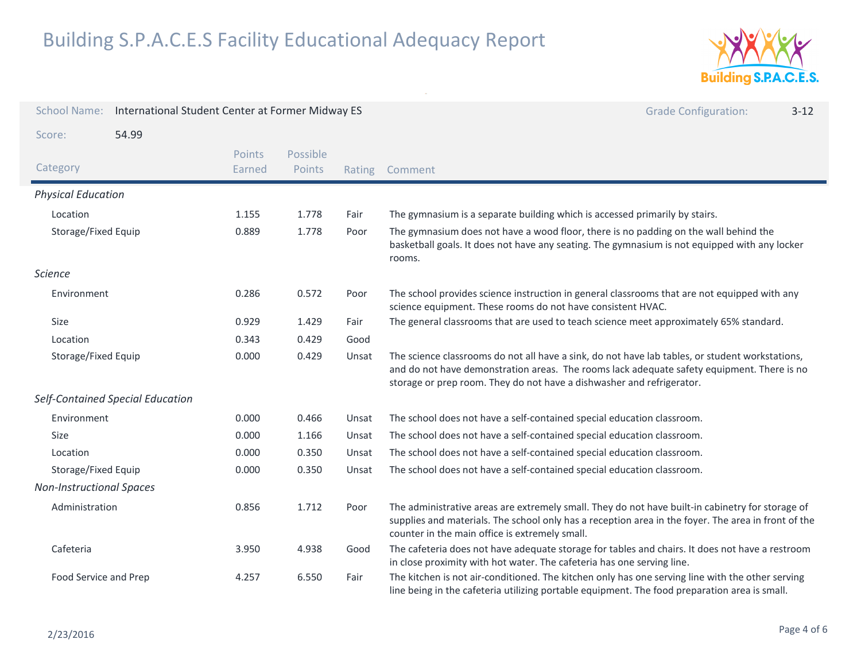

| <b>School Name:</b>             | International Student Center at Former Midway ES |                  |                    |        | <b>Grade Configuration:</b><br>$3 - 12$                                                                                                                                                                                                                                |
|---------------------------------|--------------------------------------------------|------------------|--------------------|--------|------------------------------------------------------------------------------------------------------------------------------------------------------------------------------------------------------------------------------------------------------------------------|
| Score:                          | 54.99                                            |                  |                    |        |                                                                                                                                                                                                                                                                        |
| Category                        |                                                  | Points<br>Earned | Possible<br>Points | Rating | Comment                                                                                                                                                                                                                                                                |
| <b>Physical Education</b>       |                                                  |                  |                    |        |                                                                                                                                                                                                                                                                        |
| Location                        |                                                  | 1.155            | 1.778              | Fair   | The gymnasium is a separate building which is accessed primarily by stairs.                                                                                                                                                                                            |
| Storage/Fixed Equip             |                                                  | 0.889            | 1.778              | Poor   | The gymnasium does not have a wood floor, there is no padding on the wall behind the<br>basketball goals. It does not have any seating. The gymnasium is not equipped with any locker<br>rooms.                                                                        |
| <b>Science</b>                  |                                                  |                  |                    |        |                                                                                                                                                                                                                                                                        |
| Environment                     |                                                  | 0.286            | 0.572              | Poor   | The school provides science instruction in general classrooms that are not equipped with any<br>science equipment. These rooms do not have consistent HVAC.                                                                                                            |
| Size                            |                                                  | 0.929            | 1.429              | Fair   | The general classrooms that are used to teach science meet approximately 65% standard.                                                                                                                                                                                 |
| Location                        |                                                  | 0.343            | 0.429              | Good   |                                                                                                                                                                                                                                                                        |
| Storage/Fixed Equip             |                                                  | 0.000            | 0.429              | Unsat  | The science classrooms do not all have a sink, do not have lab tables, or student workstations,<br>and do not have demonstration areas. The rooms lack adequate safety equipment. There is no<br>storage or prep room. They do not have a dishwasher and refrigerator. |
|                                 | Self-Contained Special Education                 |                  |                    |        |                                                                                                                                                                                                                                                                        |
| Environment                     |                                                  | 0.000            | 0.466              | Unsat  | The school does not have a self-contained special education classroom.                                                                                                                                                                                                 |
| Size                            |                                                  | 0.000            | 1.166              | Unsat  | The school does not have a self-contained special education classroom.                                                                                                                                                                                                 |
| Location                        |                                                  | 0.000            | 0.350              | Unsat  | The school does not have a self-contained special education classroom.                                                                                                                                                                                                 |
| Storage/Fixed Equip             |                                                  | 0.000            | 0.350              | Unsat  | The school does not have a self-contained special education classroom.                                                                                                                                                                                                 |
| <b>Non-Instructional Spaces</b> |                                                  |                  |                    |        |                                                                                                                                                                                                                                                                        |
| Administration                  |                                                  | 0.856            | 1.712              | Poor   | The administrative areas are extremely small. They do not have built-in cabinetry for storage of<br>supplies and materials. The school only has a reception area in the foyer. The area in front of the<br>counter in the main office is extremely small.              |
| Cafeteria                       |                                                  | 3.950            | 4.938              | Good   | The cafeteria does not have adequate storage for tables and chairs. It does not have a restroom<br>in close proximity with hot water. The cafeteria has one serving line.                                                                                              |
| Food Service and Prep           |                                                  | 4.257            | 6.550              | Fair   | The kitchen is not air-conditioned. The kitchen only has one serving line with the other serving<br>line being in the cafeteria utilizing portable equipment. The food preparation area is small.                                                                      |

 $\mathcal{L}^{\mathcal{L}}$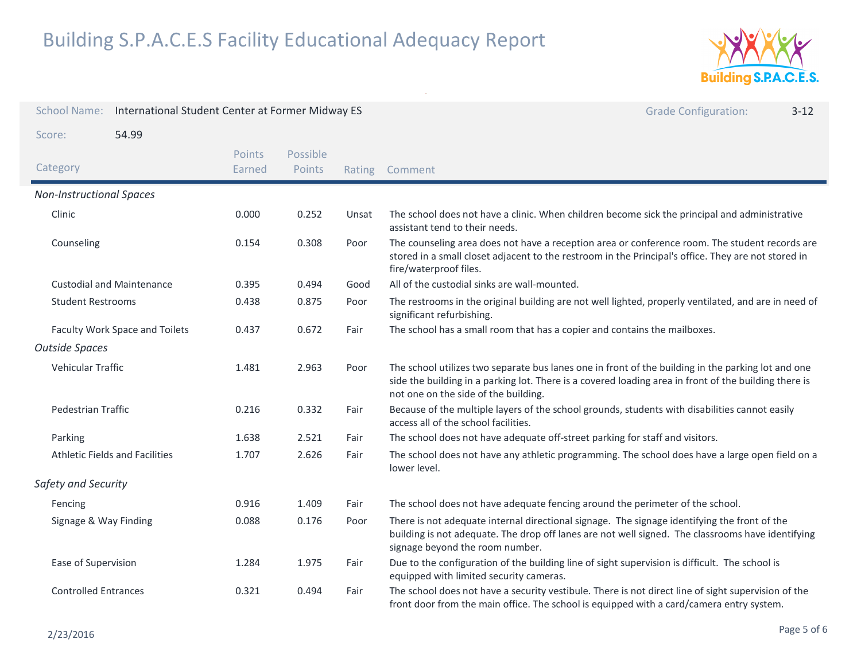

| <b>School Name:</b>                   | International Student Center at Former Midway ES |                  |                    |                                                                                                                                                                                                 | <b>Grade Configuration:</b><br>$3 - 12$                                                                                                                                                                                                             |
|---------------------------------------|--------------------------------------------------|------------------|--------------------|-------------------------------------------------------------------------------------------------------------------------------------------------------------------------------------------------|-----------------------------------------------------------------------------------------------------------------------------------------------------------------------------------------------------------------------------------------------------|
| Score:                                | 54.99                                            |                  |                    |                                                                                                                                                                                                 |                                                                                                                                                                                                                                                     |
| Category                              |                                                  | Points<br>Earned | Possible<br>Points |                                                                                                                                                                                                 | Rating Comment                                                                                                                                                                                                                                      |
| <b>Non-Instructional Spaces</b>       |                                                  |                  |                    |                                                                                                                                                                                                 |                                                                                                                                                                                                                                                     |
| Clinic                                |                                                  | 0.000            | 0.252              | Unsat                                                                                                                                                                                           | The school does not have a clinic. When children become sick the principal and administrative<br>assistant tend to their needs.                                                                                                                     |
| Counseling                            |                                                  | 0.154            | 0.308              | Poor                                                                                                                                                                                            | The counseling area does not have a reception area or conference room. The student records are<br>stored in a small closet adjacent to the restroom in the Principal's office. They are not stored in<br>fire/waterproof files.                     |
|                                       | <b>Custodial and Maintenance</b>                 | 0.395            | 0.494              | Good                                                                                                                                                                                            | All of the custodial sinks are wall-mounted.                                                                                                                                                                                                        |
| <b>Student Restrooms</b>              |                                                  | 0.438            | 0.875              | Poor                                                                                                                                                                                            | The restrooms in the original building are not well lighted, properly ventilated, and are in need of<br>significant refurbishing.                                                                                                                   |
| Faculty Work Space and Toilets        |                                                  | 0.437            | 0.672              | Fair                                                                                                                                                                                            | The school has a small room that has a copier and contains the mailboxes.                                                                                                                                                                           |
| <b>Outside Spaces</b>                 |                                                  |                  |                    |                                                                                                                                                                                                 |                                                                                                                                                                                                                                                     |
| Vehicular Traffic                     |                                                  | 1.481            | 2.963              | Poor                                                                                                                                                                                            | The school utilizes two separate bus lanes one in front of the building in the parking lot and one<br>side the building in a parking lot. There is a covered loading area in front of the building there is<br>not one on the side of the building. |
| <b>Pedestrian Traffic</b>             |                                                  | 0.216            | 0.332              | Fair                                                                                                                                                                                            | Because of the multiple layers of the school grounds, students with disabilities cannot easily<br>access all of the school facilities.                                                                                                              |
| Parking                               |                                                  | 1.638            | 2.521              | Fair                                                                                                                                                                                            | The school does not have adequate off-street parking for staff and visitors.                                                                                                                                                                        |
| <b>Athletic Fields and Facilities</b> |                                                  | 1.707            | 2.626              | Fair                                                                                                                                                                                            | The school does not have any athletic programming. The school does have a large open field on a<br>lower level.                                                                                                                                     |
| Safety and Security                   |                                                  |                  |                    |                                                                                                                                                                                                 |                                                                                                                                                                                                                                                     |
| Fencing                               |                                                  | 0.916            | 1.409              | Fair                                                                                                                                                                                            | The school does not have adequate fencing around the perimeter of the school.                                                                                                                                                                       |
| Signage & Way Finding                 |                                                  | 0.088            | 0.176              | Poor                                                                                                                                                                                            | There is not adequate internal directional signage. The signage identifying the front of the<br>building is not adequate. The drop off lanes are not well signed. The classrooms have identifying<br>signage beyond the room number.                |
| 1.975<br>Ease of Supervision<br>1.284 |                                                  |                  | Fair               | Due to the configuration of the building line of sight supervision is difficult. The school is<br>equipped with limited security cameras.                                                       |                                                                                                                                                                                                                                                     |
| <b>Controlled Entrances</b><br>0.321  |                                                  | 0.494            | Fair               | The school does not have a security vestibule. There is not direct line of sight supervision of the<br>front door from the main office. The school is equipped with a card/camera entry system. |                                                                                                                                                                                                                                                     |